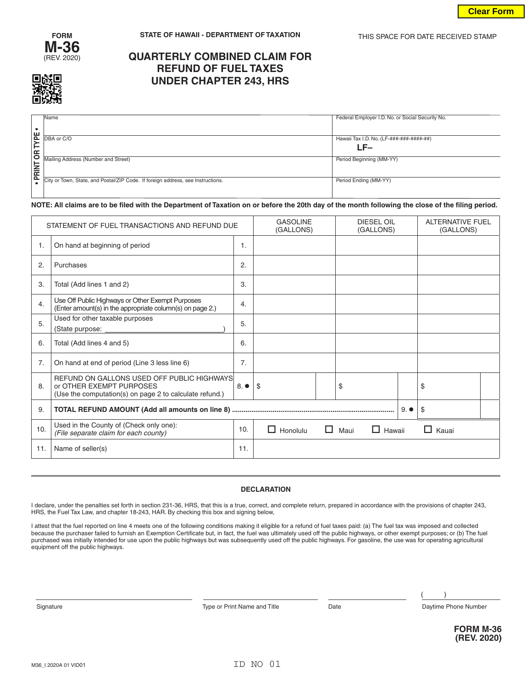



# **QUARTERLY COMBINED CLAIM FOR REFUND OF FUEL TAXES UNDER CHAPTER 243, HRS**

|             | <b>Name</b>                                                                     | Federal Employer I.D. No. or Social Security No. |
|-------------|---------------------------------------------------------------------------------|--------------------------------------------------|
|             |                                                                                 |                                                  |
|             |                                                                                 |                                                  |
| <b>YPE</b>  | DBA or C/O                                                                      | Hawaii Tax I.D. No. (LF-###-###-####-##)         |
|             |                                                                                 |                                                  |
| ⊢           |                                                                                 | LF–                                              |
| g           | Mailing Address (Number and Street)                                             | Period Beginning (MM-YY)                         |
|             |                                                                                 |                                                  |
| <b>RINT</b> |                                                                                 |                                                  |
| ௨           | City or Town, State, and Postal/ZIP Code. If foreign address, see Instructions. | Period Ending (MM-YY)                            |
|             |                                                                                 |                                                  |
|             |                                                                                 |                                                  |

## **NOTE: All claims are to be filed with the Department of Taxation on or before the 20th day of the month following the close of the filing period.**

| STATEMENT OF FUEL TRANSACTIONS AND REFUND DUE |                                                                                                                                   |     | <b>GASOLINE</b><br>(GALLONS) |  | <b>DIESEL OIL</b><br>(GALLONS) | <b>ALTERNATIVE FUEL</b><br>(GALLONS) |  |
|-----------------------------------------------|-----------------------------------------------------------------------------------------------------------------------------------|-----|------------------------------|--|--------------------------------|--------------------------------------|--|
| 1.                                            | On hand at beginning of period                                                                                                    | 1.  |                              |  |                                |                                      |  |
| 2.                                            | Purchases                                                                                                                         | 2.  |                              |  |                                |                                      |  |
| 3.                                            | Total (Add lines 1 and 2)                                                                                                         | 3.  |                              |  |                                |                                      |  |
| 4.                                            | Use Off Public Highways or Other Exempt Purposes<br>(Enter amount(s) in the appropriate column(s) on page 2.)                     | 4.  |                              |  |                                |                                      |  |
| 5.                                            | Used for other taxable purposes<br>(State purpose:                                                                                | 5.  |                              |  |                                |                                      |  |
| 6.                                            | Total (Add lines 4 and 5)                                                                                                         | 6.  |                              |  |                                |                                      |  |
| 7.                                            | On hand at end of period (Line 3 less line 6)                                                                                     | 7.  |                              |  |                                |                                      |  |
| 8.                                            | REFUND ON GALLONS USED OFF PUBLIC HIGHWAYS<br>or OTHER EXEMPT PURPOSES<br>(Use the computation(s) on page 2 to calculate refund.) | 8.  | \$                           |  | \$                             | \$                                   |  |
| 9.                                            | \$<br>$9. \bullet$                                                                                                                |     |                              |  |                                |                                      |  |
| 10.                                           | Used in the County of (Check only one):<br>(File separate claim for each county)                                                  | 10. | Honolulu<br>H                |  | $\Box$ Maui<br>$\Box$ Hawaii   | $\Box$ Kauai                         |  |
| 11.                                           | Name of seller(s)                                                                                                                 | 11. |                              |  |                                |                                      |  |

#### **DECLARATION**

I declare, under the penalties set forth in section 231-36, HRS, that this is a true, correct, and complete return, prepared in accordance with the provisions of chapter 243, HRS, the Fuel Tax Law, and chapter 18-243, HAR. By checking this box and signing below,

I attest that the fuel reported on line 4 meets one of the following conditions making it eligible for a refund of fuel taxes paid: (a) The fuel tax was imposed and collected because the purchaser failed to furnish an Exemption Certificate but, in fact, the fuel was ultimately used off the public highways, or other exempt purposes; or (b) The fuel purchased was initially intended for use upon the public highways but was subsequently used off the public highways. For gasoline, the use was for operating agricultural equipment off the public highways.

Signature **Type or Print Name and Title** Date Date Daytime Phone Number

 $\lambda$